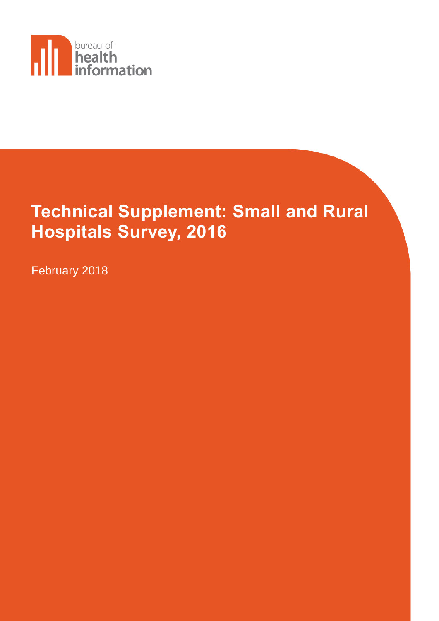

# **Technical Supplement: Small and Rural Hospitals Survey, 2016**

February 2018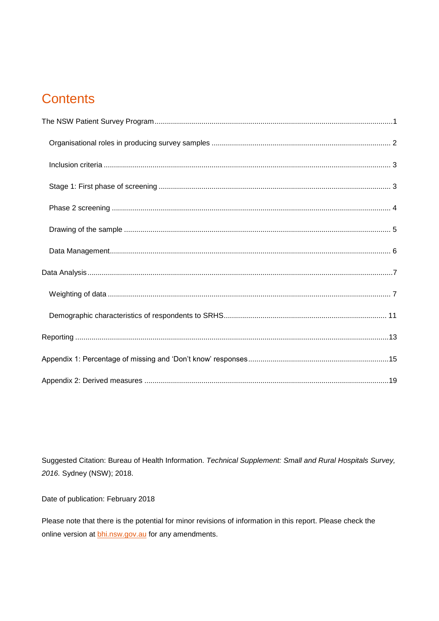## **Contents**

Suggested Citation: Bureau of Health Information. Technical Supplement: Small and Rural Hospitals Survey, 2016. Sydney (NSW); 2018.

Date of publication: February 2018

Please note that there is the potential for minor revisions of information in this report. Please check the online version at **bhi.nsw.gov.au** for any amendments.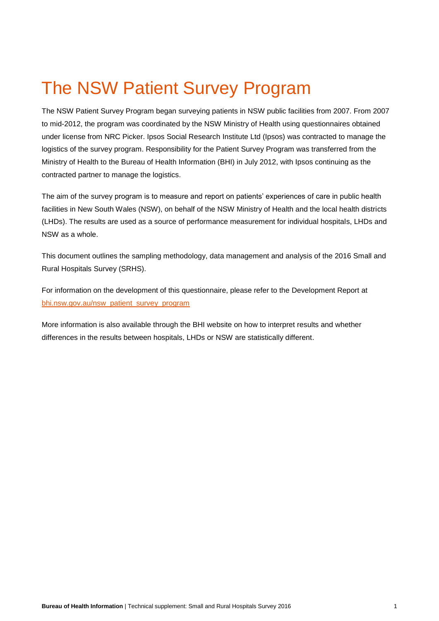## <span id="page-2-0"></span>The NSW Patient Survey Program

The NSW Patient Survey Program began surveying patients in NSW public facilities from 2007. From 2007 to mid-2012, the program was coordinated by the NSW Ministry of Health using questionnaires obtained under license from NRC Picker. Ipsos Social Research Institute Ltd (Ipsos) was contracted to manage the logistics of the survey program. Responsibility for the Patient Survey Program was transferred from the Ministry of Health to the Bureau of Health Information (BHI) in July 2012, with Ipsos continuing as the contracted partner to manage the logistics.

The aim of the survey program is to measure and report on patients' experiences of care in public health facilities in New South Wales (NSW), on behalf of the NSW Ministry of Health and the local health districts (LHDs). The results are used as a source of performance measurement for individual hospitals, LHDs and NSW as a whole.

This document outlines the sampling methodology, data management and analysis of the 2016 Small and Rural Hospitals Survey (SRHS).

For information on the development of this questionnaire, please refer to the Development Report at [bhi.nsw.gov.au/nsw\\_patient\\_survey\\_program](http://www.bhi.nsw.gov.au/nsw_patient_survey_program)

More information is also available through the BHI website on how to interpret results and whether differences in the results between hospitals, LHDs or NSW are statistically different.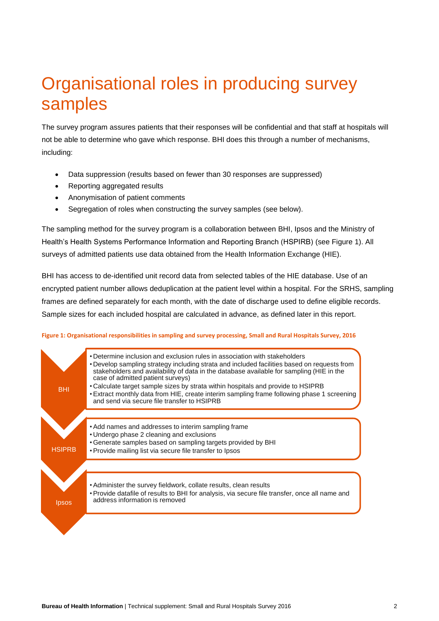## <span id="page-3-0"></span>Organisational roles in producing survey samples

The survey program assures patients that their responses will be confidential and that staff at hospitals will not be able to determine who gave which response. BHI does this through a number of mechanisms, including:

- Data suppression (results based on fewer than 30 responses are suppressed)
- Reporting aggregated results
- Anonymisation of patient comments
- Segregation of roles when constructing the survey samples (see below).

The sampling method for the survey program is a collaboration between BHI, Ipsos and the Ministry of Health's Health Systems Performance Information and Reporting Branch (HSPIRB) (see Figure 1). All surveys of admitted patients use data obtained from the Health Information Exchange (HIE).

BHI has access to de-identified unit record data from selected tables of the HIE database. Use of an encrypted patient number allows deduplication at the patient level within a hospital. For the SRHS, sampling frames are defined separately for each month, with the date of discharge used to define eligible records. Sample sizes for each included hospital are calculated in advance, as defined later in this report.



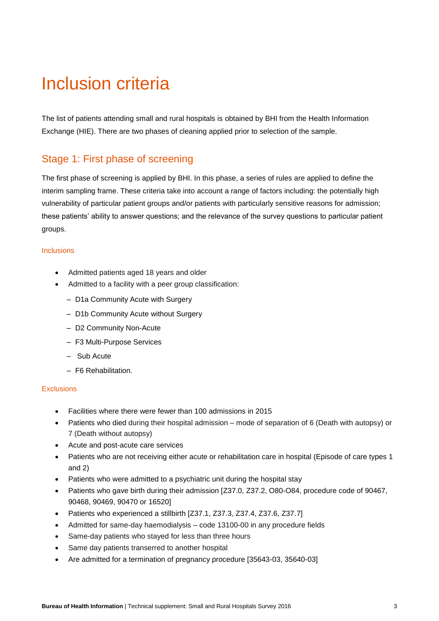## <span id="page-4-0"></span>Inclusion criteria

The list of patients attending small and rural hospitals is obtained by BHI from the Health Information Exchange (HIE). There are two phases of cleaning applied prior to selection of the sample.

## <span id="page-4-1"></span>Stage 1: First phase of screening

The first phase of screening is applied by BHI. In this phase, a series of rules are applied to define the interim sampling frame. These criteria take into account a range of factors including: the potentially high vulnerability of particular patient groups and/or patients with particularly sensitive reasons for admission; these patients' ability to answer questions; and the relevance of the survey questions to particular patient groups.

### Inclusions

- Admitted patients aged 18 years and older
- Admitted to a facility with a peer group classification:
	- D1a Community Acute with Surgery
	- D1b Community Acute without Surgery
	- D2 Community Non-Acute
	- F3 Multi-Purpose Services
	- Sub Acute
	- F6 Rehabilitation.

### **Exclusions**

- Facilities where there were fewer than 100 admissions in 2015
- Patients who died during their hospital admission mode of separation of 6 (Death with autopsy) or 7 (Death without autopsy)
- Acute and post-acute care services
- Patients who are not receiving either acute or rehabilitation care in hospital (Episode of care types 1 and 2)
- Patients who were admitted to a psychiatric unit during the hospital stay
- Patients who gave birth during their admission [Z37.0, Z37.2, O80-O84, procedure code of 90467, 90468, 90469, 90470 or 16520]
- Patients who experienced a stillbirth [Z37.1, Z37.3, Z37.4, Z37.6, Z37.7]
- Admitted for same-day haemodialysis code 13100-00 in any procedure fields
- Same-day patients who stayed for less than three hours
- Same day patients transerred to another hospital
- Are admitted for a termination of pregnancy procedure [35643-03, 35640-03]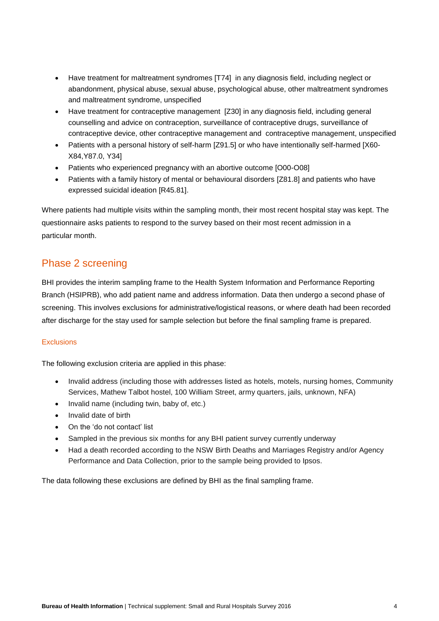- Have treatment for maltreatment syndromes [T74] in any diagnosis field, including neglect or abandonment, physical abuse, sexual abuse, psychological abuse, other maltreatment syndromes and maltreatment syndrome, unspecified
- Have treatment for contraceptive management [Z30] in any diagnosis field, including general counselling and advice on contraception, surveillance of contraceptive drugs, surveillance of contraceptive device, other contraceptive management and contraceptive management, unspecified
- Patients with a personal history of self-harm [Z91.5] or who have intentionally self-harmed [X60- X84,Y87.0, Y34]
- Patients who experienced pregnancy with an abortive outcome [O00-O08]
- Patients with a family history of mental or behavioural disorders [Z81.8] and patients who have expressed suicidal ideation [R45.81].

Where patients had multiple visits within the sampling month, their most recent hospital stay was kept. The questionnaire asks patients to respond to the survey based on their most recent admission in a particular month.

## <span id="page-5-0"></span>Phase 2 screening

BHI provides the interim sampling frame to the Health System Information and Performance Reporting Branch (HSIPRB), who add patient name and address information. Data then undergo a second phase of screening. This involves exclusions for administrative/logistical reasons, or where death had been recorded after discharge for the stay used for sample selection but before the final sampling frame is prepared.

## **Exclusions**

The following exclusion criteria are applied in this phase:

- Invalid address (including those with addresses listed as hotels, motels, nursing homes, Community Services, Mathew Talbot hostel, 100 William Street, army quarters, jails, unknown, NFA)
- Invalid name (including twin, baby of, etc.)
- Invalid date of birth
- On the 'do not contact' list
- Sampled in the previous six months for any BHI patient survey currently underway
- Had a death recorded according to the NSW Birth Deaths and Marriages Registry and/or Agency Performance and Data Collection, prior to the sample being provided to Ipsos.

<span id="page-5-1"></span>The data following these exclusions are defined by BHI as the final sampling frame.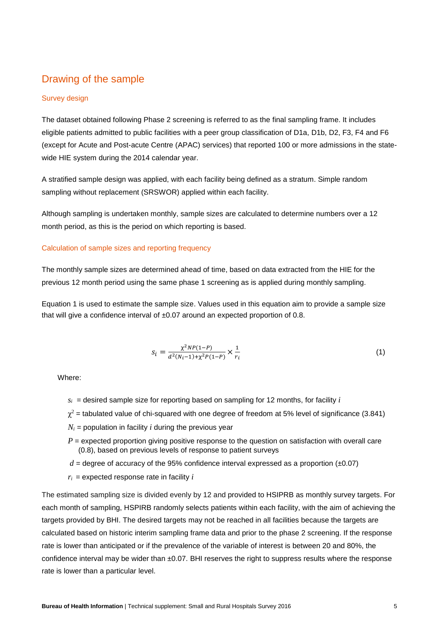## Drawing of the sample

### Survey design

The dataset obtained following Phase 2 screening is referred to as the final sampling frame. It includes eligible patients admitted to public facilities with a peer group classification of D1a, D1b, D2, F3, F4 and F6 (except for Acute and Post-acute Centre (APAC) services) that reported 100 or more admissions in the statewide HIE system during the 2014 calendar year.

A stratified sample design was applied, with each facility being defined as a stratum. Simple random sampling without replacement (SRSWOR) applied within each facility.

Although sampling is undertaken monthly, sample sizes are calculated to determine numbers over a 12 month period, as this is the period on which reporting is based.

### Calculation of sample sizes and reporting frequency

The monthly sample sizes are determined ahead of time, based on data extracted from the HIE for the previous 12 month period using the same phase 1 screening as is applied during monthly sampling.

Equation 1 is used to estimate the sample size. Values used in this equation aim to provide a sample size that will give a confidence interval of  $\pm 0.07$  around an expected proportion of 0.8.

$$
s_i = \frac{\chi^2 NP(1-P)}{d^2(N_i-1) + \chi^2 P(1-P)} \times \frac{1}{r_i}
$$
 (1)

Where:

- $s_i$  = desired sample size for reporting based on sampling for 12 months, for facility *i*
- $\chi^2$  = tabulated value of chi-squared with one degree of freedom at 5% level of significance (3.841)
- $N_i$  = population in facility *i* during the previous year
- $P =$  expected proportion giving positive response to the question on satisfaction with overall care (0.8), based on previous levels of response to patient surveys
- $d$  = degree of accuracy of the 95% confidence interval expressed as a proportion ( $\pm 0.07$ )
- $r_i$  = expected response rate in facility  $i$

The estimated sampling size is divided evenly by 12 and provided to HSIPRB as monthly survey targets. For each month of sampling, HSPIRB randomly selects patients within each facility, with the aim of achieving the targets provided by BHI. The desired targets may not be reached in all facilities because the targets are calculated based on historic interim sampling frame data and prior to the phase 2 screening. If the response rate is lower than anticipated or if the prevalence of the variable of interest is between 20 and 80%, the confidence interval may be wider than ±0.07. BHI reserves the right to suppress results where the response rate is lower than a particular level.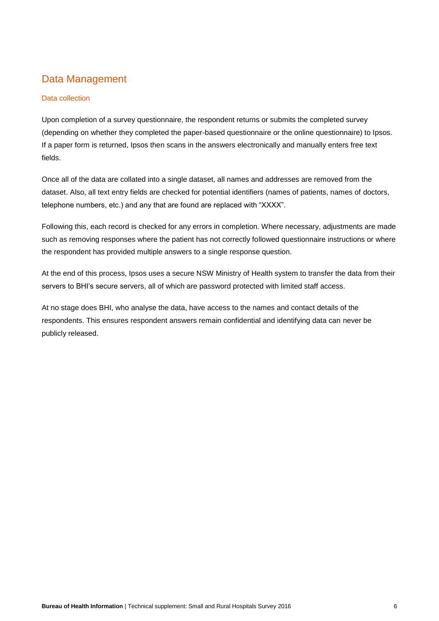## <span id="page-7-0"></span>Data Management

## Data collection

Upon completion of a survey questionnaire, the respondent returns or submits the completed survey (depending on whether they completed the paper-based questionnaire or the online questionnaire) to Ipsos. If a paper form is returned, Ipsos then scans in the answers electronically and manually enters free text fields.

Once all of the data are collated into a single dataset, all names and addresses are removed from the dataset. Also, all text entry fields are checked for potential identifiers (names of patients, names of doctors, telephone numbers, etc.) and any that are found are replaced with "XXXX".

Following this, each record is checked for any errors in completion. Where necessary, adjustments are made such as removing responses where the patient has not correctly followed questionnaire instructions or where the respondent has provided multiple answers to a single response question.

At the end of this process, Ipsos uses a secure NSW Ministry of Health system to transfer the data from their servers to BHI's secure servers, all of which are password protected with limited staff access.

At no stage does BHI, who analyse the data, have access to the names and contact details of the respondents. This ensures respondent answers remain confidential and identifying data can never be publicly released.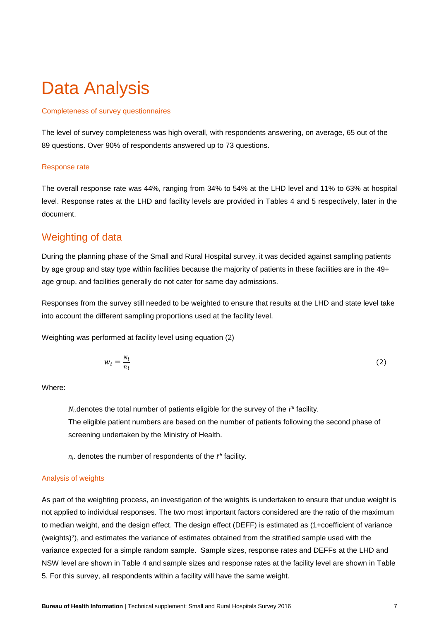## <span id="page-8-0"></span>Data Analysis

### Completeness of survey questionnaires

The level of survey completeness was high overall, with respondents answering, on average, 65 out of the 89 questions. Over 90% of respondents answered up to 73 questions.

#### Response rate

The overall response rate was 44%, ranging from 34% to 54% at the LHD level and 11% to 63% at hospital level. Response rates at the LHD and facility levels are provided in Tables 4 and 5 respectively, later in the document.

## <span id="page-8-1"></span>Weighting of data

During the planning phase of the Small and Rural Hospital survey, it was decided against sampling patients by age group and stay type within facilities because the majority of patients in these facilities are in the 49+ age group, and facilities generally do not cater for same day admissions.

Responses from the survey still needed to be weighted to ensure that results at the LHD and state level take into account the different sampling proportions used at the facility level.

Weighting was performed at facility level using equation (2)

$$
w_i = \frac{N_i}{n_i} \tag{2}
$$

Where:

 $N_i$  denotes the total number of patients eligible for the survey of the  $i<sup>th</sup>$  facility. The eligible patient numbers are based on the number of patients following the second phase of screening undertaken by the Ministry of Health.

 $n_i$ . denotes the number of respondents of the  $i<sup>th</sup>$  facility.

#### Analysis of weights

As part of the weighting process, an investigation of the weights is undertaken to ensure that undue weight is not applied to individual responses. The two most important factors considered are the ratio of the maximum to median weight, and the design effect. The design effect (DEFF) is estimated as (1+coefficient of variance (weights)<sup>2</sup> ), and estimates the variance of estimates obtained from the stratified sample used with the variance expected for a simple random sample. Sample sizes, response rates and DEFFs at the LHD and NSW level are shown in Table 4 and sample sizes and response rates at the facility level are shown in Table 5. For this survey, all respondents within a facility will have the same weight.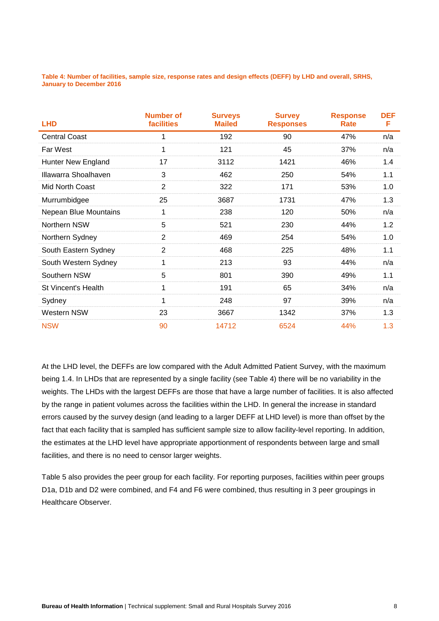**Table 4: Number of facilities, sample size, response rates and design effects (DEFF) by LHD and overall, SRHS, January to December 2016**

| <b>LHD</b>                   | <b>Number of</b><br>facilities | <b>Surveys</b><br><b>Mailed</b> | <b>Survey</b><br><b>Responses</b> | <b>Response</b><br>Rate | <b>DEF</b><br>F |
|------------------------------|--------------------------------|---------------------------------|-----------------------------------|-------------------------|-----------------|
| <b>Central Coast</b>         | 1                              | 192                             | 90                                | 47%                     | n/a             |
| Far West                     | 1                              | 121                             | 45                                | 37%                     | n/a             |
| Hunter New England           | 17                             | 3112                            | 1421                              | 46%                     | 1.4             |
| Illawarra Shoalhaven         | 3                              | 462                             | 250                               | 54%                     | 1.1             |
| Mid North Coast              | $\overline{2}$                 | 322                             | 171                               | 53%                     | 1.0             |
| Murrumbidgee                 | 25                             | 3687                            | 1731                              | 47%                     | 1.3             |
| <b>Nepean Blue Mountains</b> | 1                              | 238                             | 120                               | 50%                     | n/a             |
| Northern NSW                 | 5                              | 521                             | 230                               | 44%                     | 1.2             |
| Northern Sydney              | $\overline{2}$                 | 469                             | 254                               | 54%                     | 1.0             |
| South Eastern Sydney         | $\overline{2}$                 | 468                             | 225                               | 48%                     | 1.1             |
| South Western Sydney         | 1                              | 213                             | 93                                | 44%                     | n/a             |
| Southern NSW                 | 5                              | 801                             | 390                               | 49%                     | 1.1             |
| St Vincent's Health          | 1                              | 191                             | 65                                | 34%                     | n/a             |
| Sydney                       | 1                              | 248                             | 97                                | 39%                     | n/a             |
| Western NSW                  | 23                             | 3667                            | 1342                              | 37%                     | 1.3             |
| <b>NSW</b>                   | 90                             | 14712                           | 6524                              | 44%                     | 1.3             |

At the LHD level, the DEFFs are low compared with the Adult Admitted Patient Survey, with the maximum being 1.4. In LHDs that are represented by a single facility (see Table 4) there will be no variability in the weights. The LHDs with the largest DEFFs are those that have a large number of facilities. It is also affected by the range in patient volumes across the facilities within the LHD. In general the increase in standard errors caused by the survey design (and leading to a larger DEFF at LHD level) is more than offset by the fact that each facility that is sampled has sufficient sample size to allow facility-level reporting. In addition, the estimates at the LHD level have appropriate apportionment of respondents between large and small facilities, and there is no need to censor larger weights.

Table 5 also provides the peer group for each facility. For reporting purposes, facilities within peer groups D1a, D1b and D2 were combined, and F4 and F6 were combined, thus resulting in 3 peer groupings in Healthcare Observer.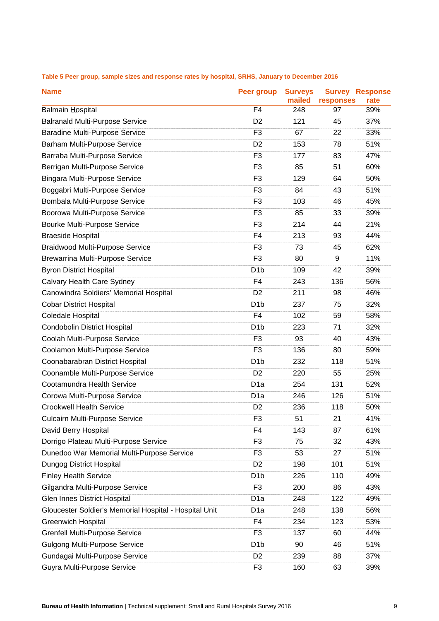| <b>Name</b>                                            | Peer group       | <b>Surveys</b><br>mailed | responses | <b>Survey Response</b><br>rate |
|--------------------------------------------------------|------------------|--------------------------|-----------|--------------------------------|
| <b>Balmain Hospital</b>                                | F <sub>4</sub>   | 248                      | 97        | 39%                            |
| <b>Balranald Multi-Purpose Service</b>                 | D <sub>2</sub>   | 121                      | 45        | 37%                            |
| <b>Baradine Multi-Purpose Service</b>                  | F <sub>3</sub>   | 67                       | 22        | 33%                            |
| Barham Multi-Purpose Service                           | D <sub>2</sub>   | 153                      | 78        | 51%                            |
| Barraba Multi-Purpose Service                          | F <sub>3</sub>   | 177                      | 83        | 47%                            |
| Berrigan Multi-Purpose Service                         | F <sub>3</sub>   | 85                       | 51        | 60%                            |
| <b>Bingara Multi-Purpose Service</b>                   | F <sub>3</sub>   | 129                      | 64        | 50%                            |
| Boggabri Multi-Purpose Service                         | F <sub>3</sub>   | 84                       | 43        | 51%                            |
| Bombala Multi-Purpose Service                          | F <sub>3</sub>   | 103                      | 46        | 45%                            |
| Boorowa Multi-Purpose Service                          | F <sub>3</sub>   | 85                       | 33        | 39%                            |
| <b>Bourke Multi-Purpose Service</b>                    | F <sub>3</sub>   | 214                      | 44        | 21%                            |
| <b>Braeside Hospital</b>                               | F <sub>4</sub>   | 213                      | 93        | 44%                            |
| <b>Braidwood Multi-Purpose Service</b>                 | F <sub>3</sub>   | 73                       | 45        | 62%                            |
| <b>Brewarrina Multi-Purpose Service</b>                | F <sub>3</sub>   | 80                       | 9         | 11%                            |
| <b>Byron District Hospital</b>                         | D <sub>1</sub> b | 109                      | 42        | 39%                            |
| Calvary Health Care Sydney                             | F <sub>4</sub>   | 243                      | 136       | 56%                            |
| Canowindra Soldiers' Memorial Hospital                 | D <sub>2</sub>   | 211                      | 98        | 46%                            |
| <b>Cobar District Hospital</b>                         | D <sub>1</sub> b | 237                      | 75        | 32%                            |
| Coledale Hospital                                      | F <sub>4</sub>   | 102                      | 59        | 58%                            |
| <b>Condobolin District Hospital</b>                    | D <sub>1</sub> b | 223                      | 71        | 32%                            |
| Coolah Multi-Purpose Service                           | F <sub>3</sub>   | 93                       | 40        | 43%                            |
| Coolamon Multi-Purpose Service                         | F <sub>3</sub>   | 136                      | 80        | 59%                            |
| Coonabarabran District Hospital                        | D <sub>1</sub> b | 232                      | 118       | 51%                            |
| Coonamble Multi-Purpose Service                        | D <sub>2</sub>   | 220                      | 55        | 25%                            |
| Cootamundra Health Service                             | D <sub>1a</sub>  | 254                      | 131       | 52%                            |
| Corowa Multi-Purpose Service                           | D <sub>1</sub> a | 246                      | 126       | 51%                            |
| <b>Crookwell Health Service</b>                        | D <sub>2</sub>   | 236                      | 118       | 50%                            |
| <b>Culcairn Multi-Purpose Service</b>                  | F3               | 51                       | 21        | 41%                            |
| David Berry Hospital                                   | F4               | 143                      | 87        | 61%                            |
| Dorrigo Plateau Multi-Purpose Service                  | F <sub>3</sub>   | 75                       | 32        | 43%                            |
| Dunedoo War Memorial Multi-Purpose Service             | F <sub>3</sub>   | 53                       | 27        | 51%                            |
| Dungog District Hospital                               | D <sub>2</sub>   | 198                      | 101       | 51%                            |
| <b>Finley Health Service</b>                           | D <sub>1</sub> b | 226                      | 110       | 49%                            |
| Gilgandra Multi-Purpose Service                        | F <sub>3</sub>   | 200                      | 86        | 43%                            |
| <b>Glen Innes District Hospital</b>                    | D <sub>1</sub> a | 248                      | 122       | 49%                            |
| Gloucester Soldier's Memorial Hospital - Hospital Unit | D <sub>1a</sub>  | 248                      | 138       | 56%                            |
| <b>Greenwich Hospital</b>                              | F <sub>4</sub>   | 234                      | 123       | 53%                            |
| <b>Grenfell Multi-Purpose Service</b>                  | F <sub>3</sub>   | 137                      | 60        | 44%                            |
| <b>Gulgong Multi-Purpose Service</b>                   | D <sub>1</sub> b | 90                       | 46        | 51%                            |
| Gundagai Multi-Purpose Service                         | D <sub>2</sub>   | 239                      | 88        | 37%                            |
| Guyra Multi-Purpose Service                            | F <sub>3</sub>   | 160                      | 63        | 39%                            |

### **Table 5 Peer group, sample sizes and response rates by hospital, SRHS, January to December 2016**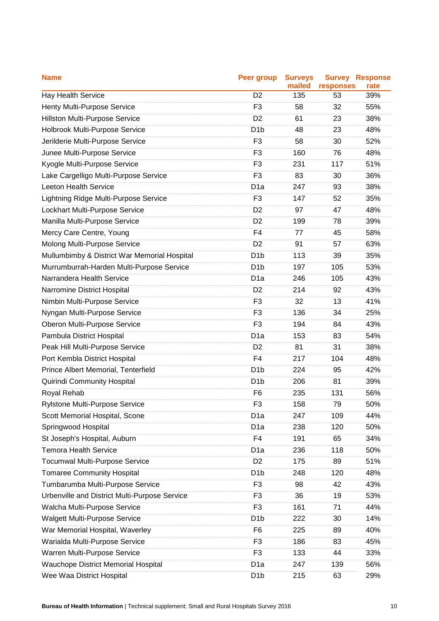| <b>Name</b>                                   | <b>Peer group</b> | <b>Surveys</b><br>mailed | responses | <b>Survey Response</b><br>rate |
|-----------------------------------------------|-------------------|--------------------------|-----------|--------------------------------|
| <b>Hay Health Service</b>                     | D <sub>2</sub>    | 135                      | 53        | 39%                            |
| Henty Multi-Purpose Service                   | F <sub>3</sub>    | 58                       | 32        | 55%                            |
| Hillston Multi-Purpose Service                | D <sub>2</sub>    | 61                       | 23        | 38%                            |
| Holbrook Multi-Purpose Service                | D <sub>1</sub> b  | 48                       | 23        | 48%                            |
| Jerilderie Multi-Purpose Service              | F <sub>3</sub>    | 58                       | 30        | 52%                            |
| Junee Multi-Purpose Service                   | F <sub>3</sub>    | 160                      | 76        | 48%                            |
| Kyogle Multi-Purpose Service                  | F <sub>3</sub>    | 231                      | 117       | 51%                            |
| Lake Cargelligo Multi-Purpose Service         | F <sub>3</sub>    | 83                       | 30        | 36%                            |
| Leeton Health Service                         | D <sub>1a</sub>   | 247                      | 93        | 38%                            |
| Lightning Ridge Multi-Purpose Service         | F <sub>3</sub>    | 147                      | 52        | 35%                            |
| Lockhart Multi-Purpose Service                | D <sub>2</sub>    | 97                       | 47        | 48%                            |
| Manilla Multi-Purpose Service                 | D <sub>2</sub>    | 199                      | 78        | 39%                            |
| Mercy Care Centre, Young                      | F <sub>4</sub>    | 77                       | 45        | 58%                            |
| Molong Multi-Purpose Service                  | D <sub>2</sub>    | 91                       | 57        | 63%                            |
| Mullumbimby & District War Memorial Hospital  | D <sub>1</sub> b  | 113                      | 39        | 35%                            |
| Murrumburrah-Harden Multi-Purpose Service     | D <sub>1</sub> b  | 197                      | 105       | 53%                            |
| Narrandera Health Service                     | D <sub>1</sub> a  | 246                      | 105       | 43%                            |
| Narromine District Hospital                   | D <sub>2</sub>    | 214                      | 92        | 43%                            |
| Nimbin Multi-Purpose Service                  | F <sub>3</sub>    | 32                       | 13        | 41%                            |
| Nyngan Multi-Purpose Service                  | F <sub>3</sub>    | 136                      | 34        | 25%                            |
| Oberon Multi-Purpose Service                  | F <sub>3</sub>    | 194                      | 84        | 43%                            |
| Pambula District Hospital                     | D <sub>1a</sub>   | 153                      | 83        | 54%                            |
| Peak Hill Multi-Purpose Service               | D <sub>2</sub>    | 81                       | 31        | 38%                            |
| Port Kembla District Hospital                 | F <sub>4</sub>    | 217                      | 104       | 48%                            |
| Prince Albert Memorial, Tenterfield           | D <sub>1</sub> b  | 224                      | 95        | 42%                            |
| Quirindi Community Hospital                   | D <sub>1</sub> b  | 206                      | 81        | 39%                            |
| Royal Rehab                                   | F <sub>6</sub>    | 235                      | 131       | 56%                            |
| Rylstone Multi-Purpose Service                | F <sub>3</sub>    | 158                      | 79        | 50%                            |
| Scott Memorial Hospital, Scone                | D <sub>1</sub> a  | 247                      | 109       | 44%                            |
| Springwood Hospital                           | D <sub>1</sub> a  | 238                      | 120       | 50%                            |
| St Joseph's Hospital, Auburn                  | F4                | 191                      | 65        | 34%                            |
| <b>Temora Health Service</b>                  | D <sub>1</sub> a  | 236                      | 118       | 50%                            |
| <b>Tocumwal Multi-Purpose Service</b>         | D <sub>2</sub>    | 175                      | 89        | 51%                            |
| <b>Tomaree Community Hospital</b>             | D <sub>1</sub> b  | 248                      | 120       | 48%                            |
| Tumbarumba Multi-Purpose Service              | F <sub>3</sub>    | 98                       | 42        | 43%                            |
| Urbenville and District Multi-Purpose Service | F <sub>3</sub>    | 36                       | 19        | 53%                            |
| Walcha Multi-Purpose Service                  | F <sub>3</sub>    | 161                      | 71        | 44%                            |
| <b>Walgett Multi-Purpose Service</b>          | D <sub>1</sub> b  | 222                      | 30        | 14%                            |
| War Memorial Hospital, Waverley               | F <sub>6</sub>    | 225                      | 89        | 40%                            |
| Warialda Multi-Purpose Service                | F <sub>3</sub>    | 186                      | 83        | 45%                            |
| Warren Multi-Purpose Service                  | F <sub>3</sub>    | 133                      | 44        | 33%                            |
| <b>Wauchope District Memorial Hospital</b>    | D <sub>1</sub> a  | 247                      | 139       | 56%                            |
| Wee Waa District Hospital                     | D <sub>1</sub> b  | 215                      | 63        | 29%                            |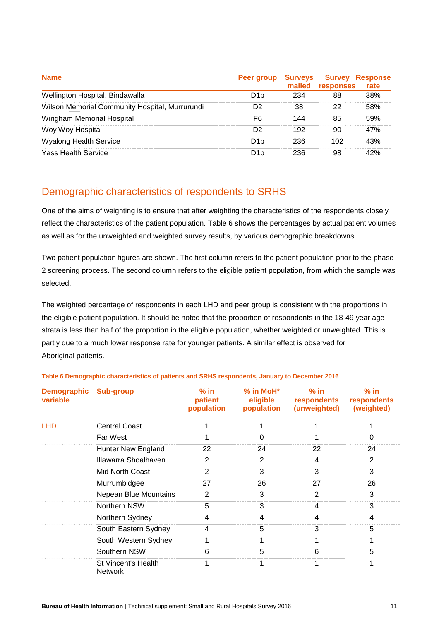| <b>Name</b>                                    | Peer group       | <b>Surveys</b><br>mailed | responses | <b>Survey Response</b><br>rate |
|------------------------------------------------|------------------|--------------------------|-----------|--------------------------------|
| Wellington Hospital, Bindawalla                | D <sub>1</sub> b | 234                      | 88        | 38%                            |
| Wilson Memorial Community Hospital, Murrurundi | D <sub>2</sub>   | 38                       | 22        | 58%                            |
| Wingham Memorial Hospital                      | F6               | 144                      | 85        | 59%                            |
| Woy Woy Hospital                               | D <sub>2</sub>   | 192                      | 90        | 47%                            |
| <b>Wyalong Health Service</b>                  | D <sub>1</sub> b | 236                      | 102       | 43%                            |
| <b>Yass Health Service</b>                     | D <sub>1</sub> b | 236                      | 98        | 42%                            |

## <span id="page-12-0"></span>Demographic characteristics of respondents to SRHS

One of the aims of weighting is to ensure that after weighting the characteristics of the respondents closely reflect the characteristics of the patient population. Table 6 shows the percentages by actual patient volumes as well as for the unweighted and weighted survey results, by various demographic breakdowns.

Two patient population figures are shown. The first column refers to the patient population prior to the phase 2 screening process. The second column refers to the eligible patient population, from which the sample was selected.

The weighted percentage of respondents in each LHD and peer group is consistent with the proportions in the eligible patient population. It should be noted that the proportion of respondents in the 18-49 year age strata is less than half of the proportion in the eligible population, whether weighted or unweighted. This is partly due to a much lower response rate for younger patients. A similar effect is observed for Aboriginal patients.

| <b>Demographic</b><br>variable | <b>Sub-group</b>                      | $%$ in<br>patient<br>population | $%$ in MoH $*$<br>eligible<br>population | $%$ in<br>respondents<br>(unweighted) | $%$ in<br>respondents<br>(weighted) |
|--------------------------------|---------------------------------------|---------------------------------|------------------------------------------|---------------------------------------|-------------------------------------|
| <b>LHD</b>                     | <b>Central Coast</b>                  |                                 |                                          |                                       |                                     |
|                                | Far West                              | 1                               | 0                                        |                                       | 0                                   |
|                                | <b>Hunter New England</b>             | 22                              | 24                                       | 22                                    | 24                                  |
|                                | Illawarra Shoalhaven                  | 2                               | $\overline{2}$                           | 4                                     | 2                                   |
|                                | Mid North Coast                       | $\overline{2}$                  | 3                                        | 3                                     | 3                                   |
|                                | Murrumbidgee                          | 27                              | 26                                       | 27                                    | 26                                  |
|                                | <b>Nepean Blue Mountains</b>          | 2                               | 3                                        | $\overline{2}$                        | 3                                   |
|                                | Northern NSW                          | 5                               | 3                                        | 4                                     | 3                                   |
|                                | Northern Sydney                       | 4                               | 4                                        | 4                                     | 4                                   |
|                                | South Eastern Sydney                  | 4                               | 5                                        | 3                                     | 5                                   |
|                                | South Western Sydney                  | 1                               |                                          |                                       |                                     |
|                                | Southern NSW                          | 6                               | 5                                        | 6                                     | 5                                   |
|                                | St Vincent's Health<br><b>Network</b> | 1                               |                                          |                                       |                                     |

### **Table 6 Demographic characteristics of patients and SRHS respondents, January to December 2016**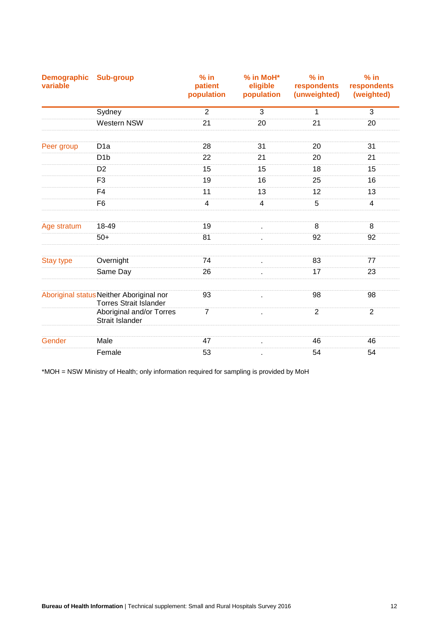| <b>Demographic</b><br>variable | <b>Sub-group</b>                                                          | $%$ in<br>patient<br>population | % in MoH*<br>eligible<br>population | $%$ in<br>respondents<br>(unweighted) | $%$ in<br>respondents<br>(weighted) |
|--------------------------------|---------------------------------------------------------------------------|---------------------------------|-------------------------------------|---------------------------------------|-------------------------------------|
|                                | Sydney                                                                    | $\overline{2}$                  | 3                                   | 1                                     | $\mathfrak{S}$                      |
|                                | Western NSW                                                               | 21                              | 20                                  | 21                                    | 20                                  |
| Peer group                     | D <sub>1a</sub>                                                           | 28                              | 31                                  | 20                                    | 31                                  |
|                                | D <sub>1</sub> b                                                          | 22                              | 21                                  | 20                                    | 21                                  |
|                                | D <sub>2</sub>                                                            | 15                              | 15                                  | 18                                    | 15                                  |
|                                | F <sub>3</sub>                                                            | 19                              | 16                                  | 25                                    | 16                                  |
|                                | F <sub>4</sub>                                                            | 11                              | 13                                  | 12                                    | 13                                  |
|                                | F <sub>6</sub>                                                            | $\overline{4}$                  | $\overline{4}$                      | 5                                     | $\overline{4}$                      |
| Age stratum                    | 18-49                                                                     | 19                              | $\epsilon$                          | 8                                     | 8                                   |
|                                | $50+$                                                                     | 81                              | $\epsilon$                          | 92                                    | 92                                  |
| <b>Stay type</b>               | Overnight                                                                 | 74                              | à.                                  | 83                                    | 77                                  |
|                                | Same Day                                                                  | 26                              |                                     | 17                                    | 23                                  |
|                                | Aboriginal status Neither Aboriginal nor<br><b>Torres Strait Islander</b> | 93                              | $\epsilon$                          | 98                                    | 98                                  |
|                                | Aboriginal and/or Torres<br>Strait Islander                               | $\overline{7}$                  |                                     | $\overline{2}$                        | $\overline{2}$                      |
|                                |                                                                           |                                 |                                     |                                       |                                     |
| Gender                         | Male                                                                      | 47                              | $\epsilon$                          | 46                                    | 46                                  |
|                                | Female                                                                    | 53                              |                                     | 54                                    | 54                                  |

\*MOH = NSW Ministry of Health; only information required for sampling is provided by MoH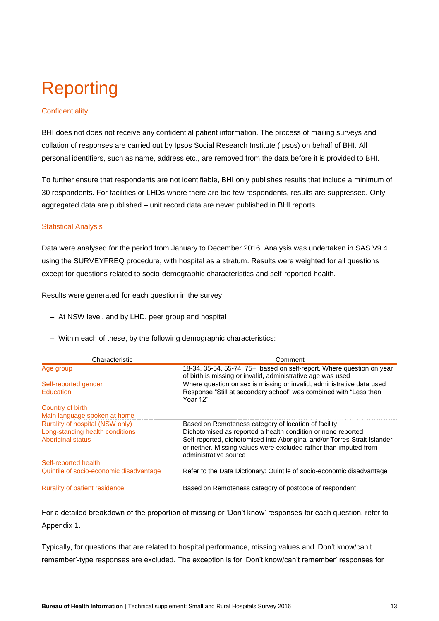## <span id="page-14-0"></span>Reporting

## **Confidentiality**

BHI does not does not receive any confidential patient information. The process of mailing surveys and collation of responses are carried out by Ipsos Social Research Institute (Ipsos) on behalf of BHI. All personal identifiers, such as name, address etc., are removed from the data before it is provided to BHI.

To further ensure that respondents are not identifiable, BHI only publishes results that include a minimum of 30 respondents. For facilities or LHDs where there are too few respondents, results are suppressed. Only aggregated data are published – unit record data are never published in BHI reports.

### Statistical Analysis

Data were analysed for the period from January to December 2016. Analysis was undertaken in SAS V9.4 using the SURVEYFREQ procedure, with hospital as a stratum. Results were weighted for all questions except for questions related to socio-demographic characteristics and self-reported health.

Results were generated for each question in the survey

- At NSW level, and by LHD, peer group and hospital
- Within each of these, by the following demographic characteristics:

| Characteristic                          | Comment                                                                                                                                                                 |
|-----------------------------------------|-------------------------------------------------------------------------------------------------------------------------------------------------------------------------|
| Age group                               | 18-34, 35-54, 55-74, 75+, based on self-report. Where question on year<br>of birth is missing or invalid, administrative age was used                                   |
| Self-reported gender                    | Where question on sex is missing or invalid, administrative data used                                                                                                   |
| <b>Education</b>                        | Response "Still at secondary school" was combined with "Less than<br>Year 12"                                                                                           |
| Country of birth                        |                                                                                                                                                                         |
| Main language spoken at home            |                                                                                                                                                                         |
| Rurality of hospital (NSW only)         | Based on Remoteness category of location of facility                                                                                                                    |
| Long-standing health conditions         | Dichotomised as reported a health condition or none reported                                                                                                            |
| Aboriginal status                       | Self-reported, dichotomised into Aboriginal and/or Torres Strait Islander<br>or neither. Missing values were excluded rather than imputed from<br>administrative source |
| Self-reported health                    |                                                                                                                                                                         |
| Quintile of socio-economic disadvantage | Refer to the Data Dictionary: Quintile of socio-economic disadvantage                                                                                                   |
| Rurality of patient residence           | Based on Remoteness category of postcode of respondent                                                                                                                  |

For a detailed breakdown of the proportion of missing or 'Don't know' responses for each question, refer to Appendix 1.

Typically, for questions that are related to hospital performance, missing values and 'Don't know/can't remember'-type responses are excluded. The exception is for 'Don't know/can't remember' responses for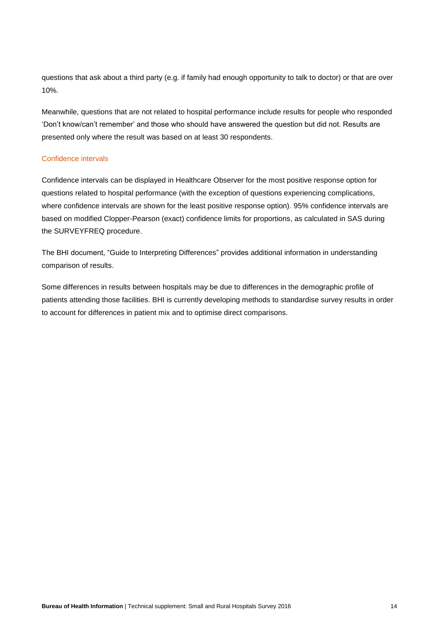questions that ask about a third party (e.g. if family had enough opportunity to talk to doctor) or that are over 10%.

Meanwhile, questions that are not related to hospital performance include results for people who responded 'Don't know/can't remember' and those who should have answered the question but did not. Results are presented only where the result was based on at least 30 respondents.

### Confidence intervals

Confidence intervals can be displayed in Healthcare Observer for the most positive response option for questions related to hospital performance (with the exception of questions experiencing complications, where confidence intervals are shown for the least positive response option). 95% confidence intervals are based on modified Clopper-Pearson (exact) confidence limits for proportions, as calculated in SAS during the SURVEYFREQ procedure.

The BHI document, ["Guide to Interpreting Differences"](http://bhi.nsw.gov.au/__data/assets/pdf_file/0006/248055/AAPS_Guide_to_interpreting_differences_Nov14.pdf) provides additional information in understanding comparison of results.

Some differences in results between hospitals may be due to differences in the demographic profile of patients attending those facilities. BHI is currently developing methods to standardise survey results in order to account for differences in patient mix and to optimise direct comparisons.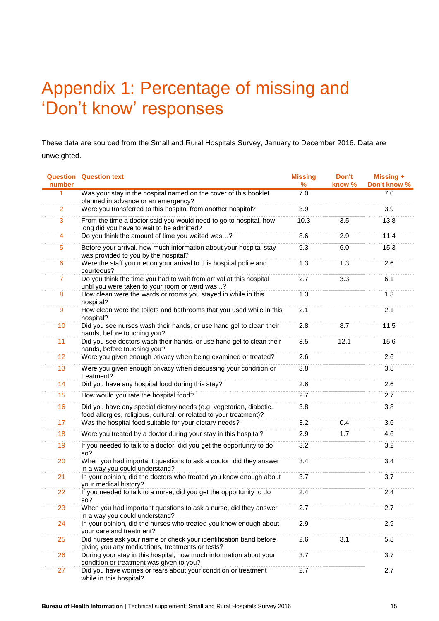## <span id="page-16-0"></span>Appendix 1: Percentage of missing and 'Don't know' responses

These data are sourced from the Small and Rural Hospitals Survey, January to December 2016. Data are unweighted.

| number         | <b>Question Question text</b>                                                                                                             | <b>Missing</b><br>% | Don't<br>know % | <b>Missing +</b><br>Don't know % |
|----------------|-------------------------------------------------------------------------------------------------------------------------------------------|---------------------|-----------------|----------------------------------|
| 1              | Was your stay in the hospital named on the cover of this booklet<br>planned in advance or an emergency?                                   | 7.0                 |                 | 7.0                              |
| $\overline{2}$ | Were you transferred to this hospital from another hospital?                                                                              | 3.9                 |                 | 3.9                              |
| 3              | From the time a doctor said you would need to go to hospital, how<br>long did you have to wait to be admitted?                            | 10.3                | 3.5             | 13.8                             |
| 4              | Do you think the amount of time you waited was?                                                                                           | 8.6                 | 2.9             | 11.4                             |
| $\overline{5}$ | Before your arrival, how much information about your hospital stay<br>was provided to you by the hospital?                                | 9.3                 | 6.0             | 15.3                             |
| $6\phantom{a}$ | Were the staff you met on your arrival to this hospital polite and<br>courteous?                                                          | 1.3                 | 1.3             | 2.6                              |
| $\overline{7}$ | Do you think the time you had to wait from arrival at this hospital<br>until you were taken to your room or ward was?                     | 2.7                 | 3.3             | 6.1                              |
| $\bf 8$        | How clean were the wards or rooms you stayed in while in this<br>hospital?                                                                | 1.3                 |                 | 1.3                              |
| 9              | How clean were the toilets and bathrooms that you used while in this<br>hospital?                                                         | 2.1                 |                 | 2.1                              |
| 10             | Did you see nurses wash their hands, or use hand gel to clean their<br>hands, before touching you?                                        | 2.8                 | 8.7             | 11.5                             |
| 11             | Did you see doctors wash their hands, or use hand gel to clean their<br>hands, before touching you?                                       | 3.5                 | 12.1            | 15.6                             |
| 12             | Were you given enough privacy when being examined or treated?                                                                             | 2.6                 |                 | 2.6                              |
| 13             | Were you given enough privacy when discussing your condition or<br>treatment?                                                             | 3.8                 |                 | 3.8                              |
| 14             | Did you have any hospital food during this stay?                                                                                          | 2.6                 |                 | 2.6                              |
| 15             | How would you rate the hospital food?                                                                                                     | 2.7                 |                 | 2.7                              |
| 16             | Did you have any special dietary needs (e.g. vegetarian, diabetic,<br>food allergies, religious, cultural, or related to your treatment)? | 3.8                 |                 | 3.8                              |
| 17             | Was the hospital food suitable for your dietary needs?                                                                                    | 3.2                 | 0.4             | 3.6                              |
| 18             | Were you treated by a doctor during your stay in this hospital?                                                                           | 2.9                 | 1.7             | 4.6                              |
| 19             | If you needed to talk to a doctor, did you get the opportunity to do<br>so?                                                               | 3.2                 |                 | 3.2                              |
| 20             | When you had important questions to ask a doctor, did they answer<br>in a way you could understand?                                       | 3.4                 |                 | 3.4                              |
| 21             | In your opinion, did the doctors who treated you know enough about<br>your medical history?                                               | 3.7                 |                 | 3.7                              |
| 22             | If you needed to talk to a nurse, did you get the opportunity to do<br>so?                                                                | 2.4                 |                 | 2.4                              |
| 23             | When you had important questions to ask a nurse, did they answer<br>in a way you could understand?                                        | 2.7                 |                 | 2.7                              |
| 24             | In your opinion, did the nurses who treated you know enough about<br>your care and treatment?                                             | 2.9                 |                 | 2.9                              |
| 25             | Did nurses ask your name or check your identification band before<br>giving you any medications, treatments or tests?                     | 2.6                 | 3.1             | 5.8                              |
| 26             | During your stay in this hospital, how much information about your<br>condition or treatment was given to you?                            | 3.7                 |                 | 3.7                              |
| 27             | Did you have worries or fears about your condition or treatment<br>while in this hospital?                                                | 2.7                 |                 | 2.7                              |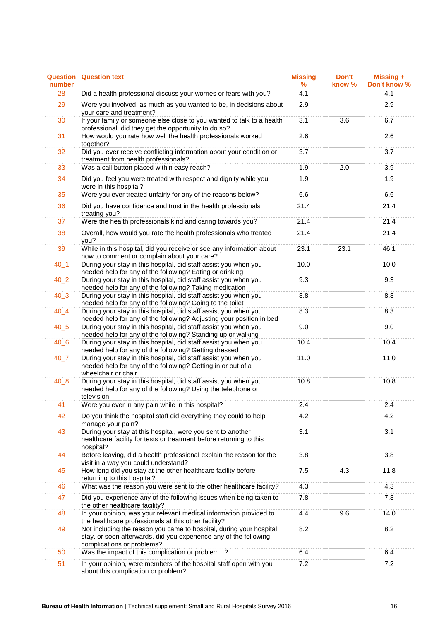| number   | <b>Question Question text</b>                                                                                                                                          | <b>Missing</b><br>$\%$ | Don't<br>know % | <b>Missing +</b><br>Don't know % |
|----------|------------------------------------------------------------------------------------------------------------------------------------------------------------------------|------------------------|-----------------|----------------------------------|
| 28       | Did a health professional discuss your worries or fears with you?                                                                                                      | 4.1                    |                 | 4.1                              |
| 29       | Were you involved, as much as you wanted to be, in decisions about<br>your care and treatment?                                                                         | 2.9                    |                 | 2.9                              |
| 30       | If your family or someone else close to you wanted to talk to a health<br>professional, did they get the opportunity to do so?                                         | 3.1                    | 3.6             | 6.7                              |
| 31       | How would you rate how well the health professionals worked<br>together?                                                                                               | 2.6                    |                 | 2.6                              |
| 32       | Did you ever receive conflicting information about your condition or<br>treatment from health professionals?                                                           | 3.7                    |                 | 3.7                              |
| 33       | Was a call button placed within easy reach?                                                                                                                            | 1.9                    | 2.0             | 3.9                              |
| 34       | Did you feel you were treated with respect and dignity while you<br>were in this hospital?                                                                             | 1.9                    |                 | 1.9                              |
| 35       | Were you ever treated unfairly for any of the reasons below?                                                                                                           | 6.6                    |                 | 6.6                              |
| 36       | Did you have confidence and trust in the health professionals<br>treating you?                                                                                         | 21.4                   |                 | 21.4                             |
| 37       | Were the health professionals kind and caring towards you?                                                                                                             | 21.4                   |                 | 21.4                             |
| 38       | Overall, how would you rate the health professionals who treated<br>you?                                                                                               | 21.4                   |                 | 21.4                             |
| 39       | While in this hospital, did you receive or see any information about<br>how to comment or complain about your care?                                                    | 23.1                   | 23.1            | 46.1                             |
| $40 - 1$ | During your stay in this hospital, did staff assist you when you<br>needed help for any of the following? Eating or drinking                                           | 10.0                   |                 | 10.0                             |
| $40_2$   | During your stay in this hospital, did staff assist you when you<br>needed help for any of the following? Taking medication                                            | 9.3                    |                 | 9.3                              |
| $40_3$   | During your stay in this hospital, did staff assist you when you<br>needed help for any of the following? Going to the toilet                                          | 8.8                    |                 | 8.8                              |
| $40_4$   | During your stay in this hospital, did staff assist you when you<br>needed help for any of the following? Adjusting your position in bed                               | 8.3                    |                 | 8.3                              |
| $40-5$   | During your stay in this hospital, did staff assist you when you<br>needed help for any of the following? Standing up or walking                                       | 9.0                    |                 | 9.0                              |
| $40-6$   | During your stay in this hospital, did staff assist you when you<br>needed help for any of the following? Getting dressed                                              | 10.4                   |                 | 10.4                             |
| $40-7$   | During your stay in this hospital, did staff assist you when you<br>needed help for any of the following? Getting in or out of a<br>wheelchair or chair                | 11.0                   |                 | 11.0                             |
| $40-8$   | During your stay in this hospital, did staff assist you when you<br>needed help for any of the following? Using the telephone or<br>television                         | 10.8                   |                 | 10.8                             |
| 41       | Were you ever in any pain while in this hospital?                                                                                                                      | 2.4                    |                 | 2.4                              |
| 42       | Do you think the hospital staff did everything they could to help<br>manage your pain?                                                                                 | 4.2                    |                 | 4.2                              |
| 43       | During your stay at this hospital, were you sent to another<br>healthcare facility for tests or treatment before returning to this<br>hospital?                        | 3.1                    |                 | 3.1                              |
| 44       | Before leaving, did a health professional explain the reason for the<br>visit in a way you could understand?                                                           | 3.8                    |                 | 3.8                              |
| 45       | How long did you stay at the other healthcare facility before<br>returning to this hospital?                                                                           | 7.5                    | 4.3             | 11.8                             |
| 46       | What was the reason you were sent to the other healthcare facility?                                                                                                    | 4.3                    |                 | 4.3                              |
| 47       | Did you experience any of the following issues when being taken to<br>the other healthcare facility?                                                                   | 7.8                    |                 | 7.8                              |
| 48       | In your opinion, was your relevant medical information provided to<br>the healthcare professionals at this other facility?                                             | 4.4                    | 9.6             | 14.0                             |
| 49       | Not including the reason you came to hospital, during your hospital<br>stay, or soon afterwards, did you experience any of the following<br>complications or problems? | 8.2                    |                 | 8.2                              |
| 50       | Was the impact of this complication or problem?                                                                                                                        | 6.4                    |                 | 6.4                              |
| 51       | In your opinion, were members of the hospital staff open with you<br>about this complication or problem?                                                               | 7.2                    |                 | 7.2                              |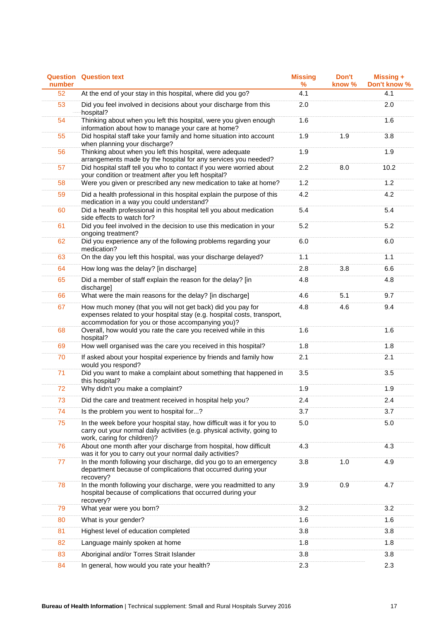| number          | <b>Question Question text</b>                                                                                                                                                               | <b>Missing</b><br>$\%$ | Don't<br>know % | Missing +<br>Don't know % |
|-----------------|---------------------------------------------------------------------------------------------------------------------------------------------------------------------------------------------|------------------------|-----------------|---------------------------|
| $\overline{52}$ | At the end of your stay in this hospital, where did you go?                                                                                                                                 | 4.1                    |                 | 4.1                       |
| 53              | Did you feel involved in decisions about your discharge from this<br>hospital?                                                                                                              | 2.0                    |                 | 2.0                       |
| 54              | Thinking about when you left this hospital, were you given enough<br>information about how to manage your care at home?                                                                     | 1.6                    |                 | 1.6                       |
| 55              | Did hospital staff take your family and home situation into account<br>when planning your discharge?                                                                                        | 1.9                    | 1.9             | 3.8                       |
| 56              | Thinking about when you left this hospital, were adequate<br>arrangements made by the hospital for any services you needed?                                                                 | 1.9                    |                 | 1.9                       |
| 57              | Did hospital staff tell you who to contact if you were worried about<br>your condition or treatment after you left hospital?                                                                | 2.2                    | 8.0             | 10.2                      |
| 58              | Were you given or prescribed any new medication to take at home?                                                                                                                            | 1.2                    |                 | 1.2                       |
| 59              | Did a health professional in this hospital explain the purpose of this<br>medication in a way you could understand?                                                                         | 4.2                    |                 | 4.2                       |
| 60              | Did a health professional in this hospital tell you about medication<br>side effects to watch for?                                                                                          | 5.4                    |                 | 5.4                       |
| 61              | Did you feel involved in the decision to use this medication in your<br>ongoing treatment?                                                                                                  | 5.2                    |                 | 5.2                       |
| 62              | Did you experience any of the following problems regarding your<br>medication?                                                                                                              | 6.0                    |                 | 6.0                       |
| 63              | On the day you left this hospital, was your discharge delayed?                                                                                                                              | 1.1                    |                 | 1.1                       |
| 64              | How long was the delay? [in discharge]                                                                                                                                                      | 2.8                    | 3.8             | 6.6                       |
| 65              | Did a member of staff explain the reason for the delay? [in<br>discharge]                                                                                                                   | 4.8                    |                 | 4.8                       |
| 66              | What were the main reasons for the delay? [in discharge]                                                                                                                                    | 4.6                    | 5.1             | 9.7                       |
| 67              | How much money (that you will not get back) did you pay for<br>expenses related to your hospital stay (e.g. hospital costs, transport,<br>accommodation for you or those accompanying you)? | 4.8                    | 4.6             | 9.4                       |
| 68              | Overall, how would you rate the care you received while in this<br>hospital?                                                                                                                | 1.6                    |                 | 1.6                       |
| 69              | How well organised was the care you received in this hospital?                                                                                                                              | 1.8                    |                 | 1.8                       |
| 70              | If asked about your hospital experience by friends and family how<br>would you respond?                                                                                                     | 2.1                    |                 | 2.1                       |
| 71              | Did you want to make a complaint about something that happened in<br>this hospital?                                                                                                         | 3.5                    |                 | 3.5                       |
| 72              | Why didn't you make a complaint?                                                                                                                                                            | 1.9                    |                 | 1.9                       |
| 73              | Did the care and treatment received in hospital help you?                                                                                                                                   | 2.4                    |                 | 2.4                       |
| 74              | Is the problem you went to hospital for?                                                                                                                                                    | 3.7                    |                 | 3.7                       |
| 75              | In the week before your hospital stay, how difficult was it for you to<br>carry out your normal daily activities (e.g. physical activity, going to<br>work, caring for children)?           | 5.0                    |                 | 5.0                       |
| 76              | About one month after your discharge from hospital, how difficult<br>was it for you to carry out your normal daily activities?                                                              | 4.3                    |                 | 4.3                       |
| 77              | In the month following your discharge, did you go to an emergency<br>department because of complications that occurred during your<br>recovery?                                             | 3.8                    | 1.0             | 4.9                       |
| 78              | In the month following your discharge, were you readmitted to any<br>hospital because of complications that occurred during your<br>recovery?                                               | 3.9                    | 0.9             | 4.7                       |
| 79              | What year were you born?                                                                                                                                                                    | 3.2                    |                 | 3.2                       |
| 80              | What is your gender?                                                                                                                                                                        | 1.6                    |                 | 1.6                       |
| 81              | Highest level of education completed                                                                                                                                                        | 3.8                    |                 | 3.8                       |
| 82              | Language mainly spoken at home                                                                                                                                                              | 1.8                    |                 | 1.8                       |
| 83              | Aboriginal and/or Torres Strait Islander                                                                                                                                                    | 3.8                    |                 | 3.8                       |
| 84              | In general, how would you rate your health?                                                                                                                                                 | 2.3                    |                 | 2.3                       |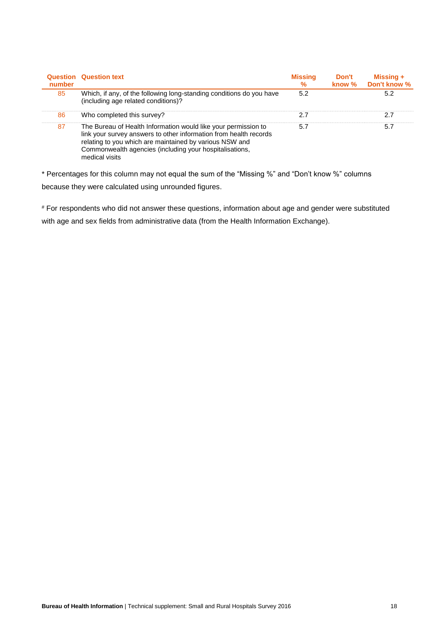| number | <b>Question Question text</b>                                                                                                                                                                                                                                               | <b>Missing</b><br>$\%$ | Don't<br>know % | Missing $+$<br>Don't know % |
|--------|-----------------------------------------------------------------------------------------------------------------------------------------------------------------------------------------------------------------------------------------------------------------------------|------------------------|-----------------|-----------------------------|
| 85     | Which, if any, of the following long-standing conditions do you have<br>(including age related conditions)?                                                                                                                                                                 | 5.2                    |                 | 5.2                         |
| 86     | Who completed this survey?                                                                                                                                                                                                                                                  | 2.7                    |                 | 2.7                         |
| 87     | The Bureau of Health Information would like your permission to<br>link your survey answers to other information from health records<br>relating to you which are maintained by various NSW and<br>Commonwealth agencies (including your hospitalisations,<br>medical visits | 5.7                    |                 | 5.7                         |

\* Percentages for this column may not equal the sum of the "Missing %" and "Don't know %" columns because they were calculated using unrounded figures.

# For respondents who did not answer these questions, information about age and gender were substituted with age and sex fields from administrative data (from the Health Information Exchange).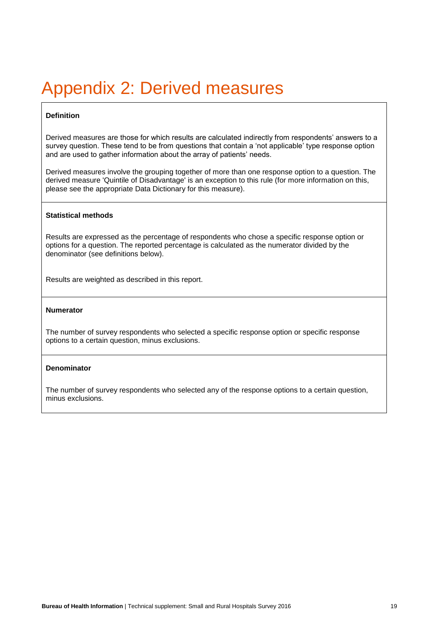## <span id="page-20-0"></span>Appendix 2: Derived measures

## **Definition**

Derived measures are those for which results are calculated indirectly from respondents' answers to a survey question. These tend to be from questions that contain a 'not applicable' type response option and are used to gather information about the array of patients' needs.

Derived measures involve the grouping together of more than one response option to a question. The derived measure 'Quintile of Disadvantage' is an exception to this rule (for more information on this, please see the appropriate Data Dictionary for this measure).

### **Statistical methods**

Results are expressed as the percentage of respondents who chose a specific response option or options for a question. The reported percentage is calculated as the numerator divided by the denominator (see definitions below).

Results are weighted as described in this report.

#### **Numerator**

The number of survey respondents who selected a specific response option or specific response options to a certain question, minus exclusions.

### **Denominator**

The number of survey respondents who selected any of the response options to a certain question, minus exclusions.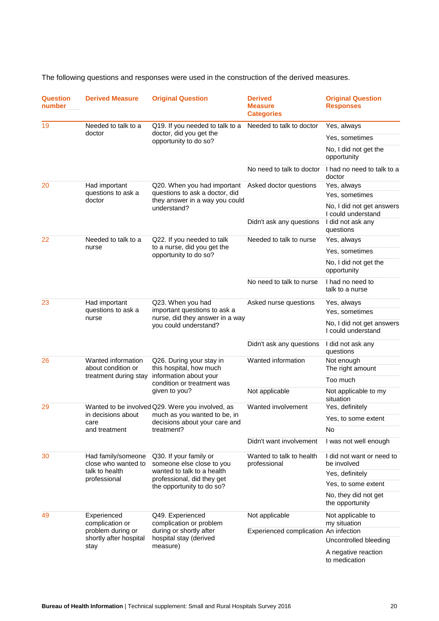The following questions and responses were used in the construction of the derived measures.

| Question<br>number | <b>Derived Measure</b>                                                                                           | <b>Original Question</b>                                                                                                                                                                                                                                        | <b>Derived</b><br><b>Measure</b><br><b>Categories</b> | <b>Original Question</b><br><b>Responses</b>    |
|--------------------|------------------------------------------------------------------------------------------------------------------|-----------------------------------------------------------------------------------------------------------------------------------------------------------------------------------------------------------------------------------------------------------------|-------------------------------------------------------|-------------------------------------------------|
| 19                 | Needed to talk to a<br>doctor                                                                                    | Q19. If you needed to talk to a<br>doctor, did you get the<br>opportunity to do so?                                                                                                                                                                             | Needed to talk to doctor                              | Yes, always                                     |
|                    |                                                                                                                  |                                                                                                                                                                                                                                                                 |                                                       | Yes, sometimes                                  |
|                    |                                                                                                                  |                                                                                                                                                                                                                                                                 |                                                       | No, I did not get the<br>opportunity            |
|                    |                                                                                                                  |                                                                                                                                                                                                                                                                 | No need to talk to doctor                             | I had no need to talk to a<br>doctor            |
| 20                 | Had important<br>questions to ask a<br>doctor                                                                    | Q20. When you had important<br>questions to ask a doctor, did<br>they answer in a way you could<br>understand?                                                                                                                                                  | Asked doctor questions                                | Yes, always                                     |
|                    |                                                                                                                  |                                                                                                                                                                                                                                                                 |                                                       | Yes, sometimes                                  |
|                    |                                                                                                                  |                                                                                                                                                                                                                                                                 |                                                       | No, I did not get answers<br>I could understand |
|                    |                                                                                                                  |                                                                                                                                                                                                                                                                 | Didn't ask any questions                              | I did not ask any<br>questions                  |
| 22                 | Needed to talk to a<br>nurse                                                                                     | Q22. If you needed to talk<br>to a nurse, did you get the<br>opportunity to do so?                                                                                                                                                                              | Needed to talk to nurse                               | Yes, always                                     |
|                    |                                                                                                                  |                                                                                                                                                                                                                                                                 |                                                       | Yes, sometimes                                  |
|                    |                                                                                                                  |                                                                                                                                                                                                                                                                 |                                                       | No, I did not get the<br>opportunity            |
|                    |                                                                                                                  |                                                                                                                                                                                                                                                                 | No need to talk to nurse                              | I had no need to<br>talk to a nurse             |
| 23                 | Had important<br>questions to ask a<br>nurse                                                                     | Q23. When you had                                                                                                                                                                                                                                               | Asked nurse questions                                 | Yes, always                                     |
|                    |                                                                                                                  | important questions to ask a<br>nurse, did they answer in a way                                                                                                                                                                                                 |                                                       | Yes, sometimes                                  |
|                    |                                                                                                                  | you could understand?                                                                                                                                                                                                                                           |                                                       | No, I did not get answers<br>I could understand |
|                    |                                                                                                                  |                                                                                                                                                                                                                                                                 | Didn't ask any questions                              | I did not ask any<br>questions                  |
| 26<br>29           | Wanted information<br>about condition or<br>treatment during stay<br>in decisions about<br>care<br>and treatment | Q26. During your stay in<br>this hospital, how much<br>information about your<br>condition or treatment was<br>given to you?<br>Wanted to be involved Q29. Were you involved, as<br>much as you wanted to be, in<br>decisions about your care and<br>treatment? | Wanted information                                    | Not enough                                      |
|                    |                                                                                                                  |                                                                                                                                                                                                                                                                 |                                                       | The right amount<br>Too much                    |
|                    |                                                                                                                  |                                                                                                                                                                                                                                                                 |                                                       |                                                 |
|                    |                                                                                                                  |                                                                                                                                                                                                                                                                 | Not applicable                                        | Not applicable to my<br>situation               |
|                    |                                                                                                                  |                                                                                                                                                                                                                                                                 | Wanted involvement                                    | Yes, definitely                                 |
|                    |                                                                                                                  |                                                                                                                                                                                                                                                                 |                                                       | Yes, to some extent                             |
|                    |                                                                                                                  |                                                                                                                                                                                                                                                                 |                                                       | No                                              |
|                    |                                                                                                                  |                                                                                                                                                                                                                                                                 | Didn't want involvement                               | I was not well enough                           |
| 30                 | Had family/someone<br>close who wanted to<br>talk to health<br>professional                                      | Q30. If your family or<br>someone else close to you<br>wanted to talk to a health<br>professional, did they get<br>the opportunity to do so?                                                                                                                    | Wanted to talk to health<br>professional              | I did not want or need to<br>be involved        |
|                    |                                                                                                                  |                                                                                                                                                                                                                                                                 |                                                       | Yes, definitely                                 |
|                    |                                                                                                                  |                                                                                                                                                                                                                                                                 |                                                       | Yes, to some extent                             |
|                    |                                                                                                                  |                                                                                                                                                                                                                                                                 |                                                       | No, they did not get<br>the opportunity         |
| 49                 | Experienced<br>complication or<br>problem during or<br>shortly after hospital<br>stay                            | Q49. Experienced<br>complication or problem<br>during or shortly after<br>hospital stay (derived<br>measure)                                                                                                                                                    | Not applicable                                        | Not applicable to<br>my situation               |
|                    |                                                                                                                  |                                                                                                                                                                                                                                                                 | Experienced complication An infection                 |                                                 |
|                    |                                                                                                                  |                                                                                                                                                                                                                                                                 |                                                       | Uncontrolled bleeding                           |
|                    |                                                                                                                  |                                                                                                                                                                                                                                                                 |                                                       | A negative reaction<br>to medication            |